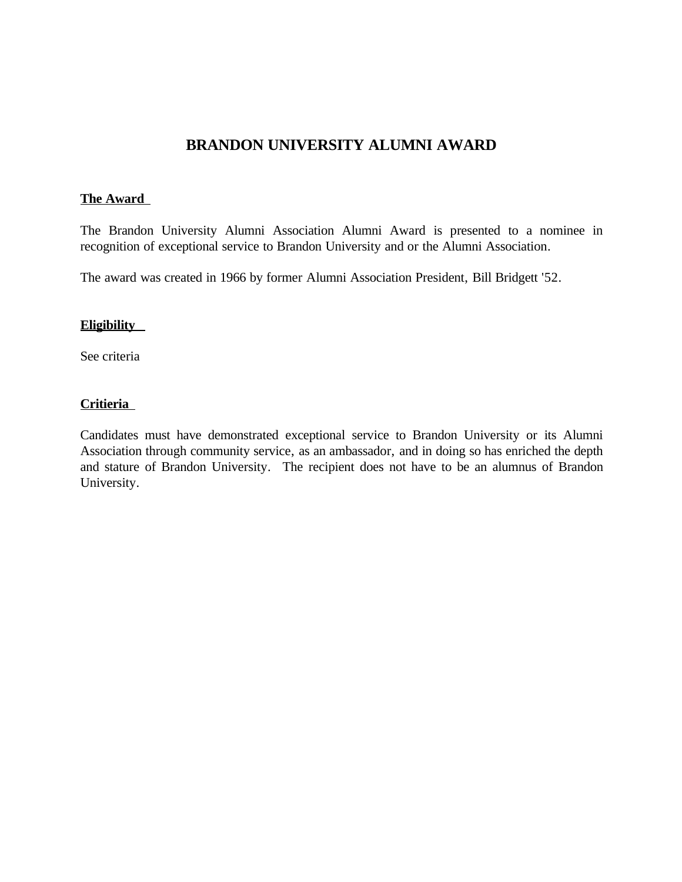# **BRANDON UNIVERSITY ALUMNI AWARD**

### **The Award**

The Brandon University Alumni Association Alumni Award is presented to a nominee in recognition of exceptional service to Brandon University and or the Alumni Association.

The award was created in 1966 by former Alumni Association President, Bill Bridgett '52.

#### **Eligibility**

See criteria

### **Critieria**

Candidates must have demonstrated exceptional service to Brandon University or its Alumni Association through community service, as an ambassador, and in doing so has enriched the depth and stature of Brandon University. The recipient does not have to be an alumnus of Brandon University.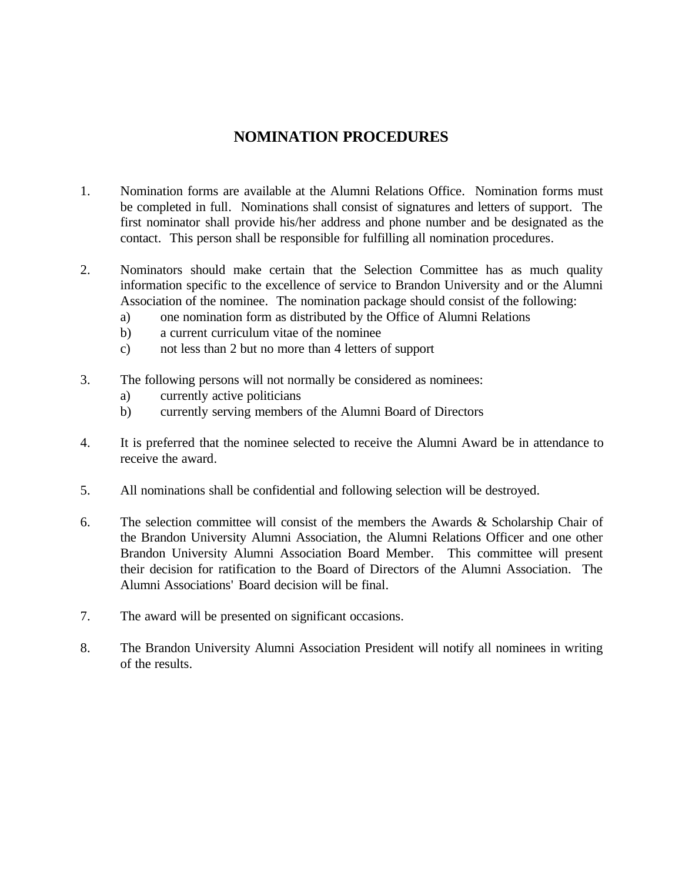## **NOMINATION PROCEDURES**

- 1. Nomination forms are available at the Alumni Relations Office. Nomination forms must be completed in full. Nominations shall consist of signatures and letters of support. The first nominator shall provide his/her address and phone number and be designated as the contact. This person shall be responsible for fulfilling all nomination procedures.
- 2. Nominators should make certain that the Selection Committee has as much quality information specific to the excellence of service to Brandon University and or the Alumni Association of the nominee. The nomination package should consist of the following:
	- a) one nomination form as distributed by the Office of Alumni Relations
	- b) a current curriculum vitae of the nominee
	- c) not less than 2 but no more than 4 letters of support
- 3. The following persons will not normally be considered as nominees:
	- a) currently active politicians
	- b) currently serving members of the Alumni Board of Directors
- 4. It is preferred that the nominee selected to receive the Alumni Award be in attendance to receive the award.
- 5. All nominations shall be confidential and following selection will be destroyed.
- 6. The selection committee will consist of the members the Awards & Scholarship Chair of the Brandon University Alumni Association, the Alumni Relations Officer and one other Brandon University Alumni Association Board Member. This committee will present their decision for ratification to the Board of Directors of the Alumni Association. The Alumni Associations' Board decision will be final.
- 7. The award will be presented on significant occasions.
- 8. The Brandon University Alumni Association President will notify all nominees in writing of the results.